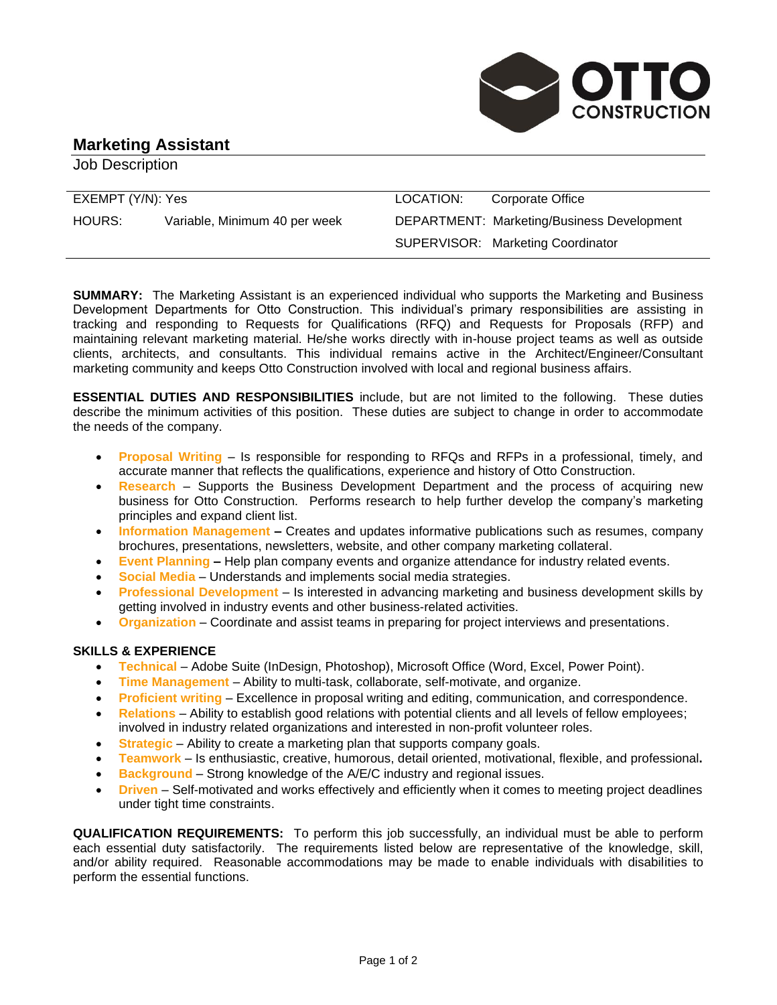

# **Marketing Assistant**

Job Description

| EXEMPT (Y/N): Yes |                               | LOCATION: | Corporate Office                                  |
|-------------------|-------------------------------|-----------|---------------------------------------------------|
| HOURS:            | Variable, Minimum 40 per week |           | <b>DEPARTMENT: Marketing/Business Development</b> |
|                   |                               |           | SUPERVISOR: Marketing Coordinator                 |

**SUMMARY:** The Marketing Assistant is an experienced individual who supports the Marketing and Business Development Departments for Otto Construction. This individual's primary responsibilities are assisting in tracking and responding to Requests for Qualifications (RFQ) and Requests for Proposals (RFP) and maintaining relevant marketing material. He/she works directly with in-house project teams as well as outside clients, architects, and consultants. This individual remains active in the Architect/Engineer/Consultant marketing community and keeps Otto Construction involved with local and regional business affairs.

**ESSENTIAL DUTIES AND RESPONSIBILITIES** include, but are not limited to the following. These duties describe the minimum activities of this position. These duties are subject to change in order to accommodate the needs of the company.

- **Proposal Writing** Is responsible for responding to RFQs and RFPs in a professional, timely, and accurate manner that reflects the qualifications, experience and history of Otto Construction.
- **Research** Supports the Business Development Department and the process of acquiring new business for Otto Construction. Performs research to help further develop the company's marketing principles and expand client list.
- **Information Management –** Creates and updates informative publications such as resumes, company brochures, presentations, newsletters, website, and other company marketing collateral.
- **Event Planning –** Help plan company events and organize attendance for industry related events.
- **Social Media** Understands and implements social media strategies.
- **Professional Development** Is interested in advancing marketing and business development skills by getting involved in industry events and other business-related activities.
- **Organization** Coordinate and assist teams in preparing for project interviews and presentations.

# **SKILLS & EXPERIENCE**

- **Technical** Adobe Suite (InDesign, Photoshop), Microsoft Office (Word, Excel, Power Point).
- **Time Management** Ability to multi-task, collaborate, self-motivate, and organize.
- **Proficient writing** Excellence in proposal writing and editing, communication, and correspondence.
- **Relations** Ability to establish good relations with potential clients and all levels of fellow employees; involved in industry related organizations and interested in non-profit volunteer roles.
- **Strategic** Ability to create a marketing plan that supports company goals.
- **Teamwork**  Is enthusiastic, creative, humorous, detail oriented, motivational, flexible, and professional**.**
- **Background**  Strong knowledge of the A/E/C industry and regional issues.
- **Driven** Self-motivated and works effectively and efficiently when it comes to meeting project deadlines under tight time constraints.

**QUALIFICATION REQUIREMENTS:** To perform this job successfully, an individual must be able to perform each essential duty satisfactorily. The requirements listed below are representative of the knowledge, skill, and/or ability required. Reasonable accommodations may be made to enable individuals with disabilities to perform the essential functions.